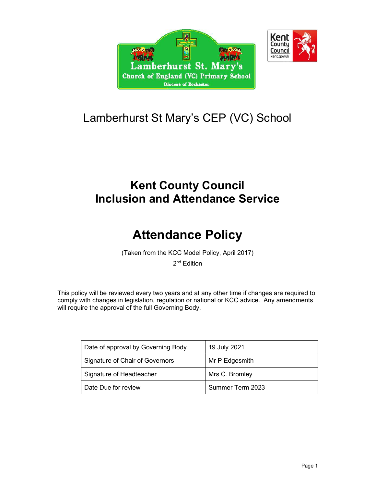



## Lamberhurst St Mary's CEP (VC) School

### Kent County Council Inclusion and Attendance Service

# Attendance Policy

(Taken from the KCC Model Policy, April 2017)

2<sup>nd</sup> Edition

This policy will be reviewed every two years and at any other time if changes are required to comply with changes in legislation, regulation or national or KCC advice. Any amendments will require the approval of the full Governing Body.

| Date of approval by Governing Body | 19 July 2021     |
|------------------------------------|------------------|
| Signature of Chair of Governors    | Mr P Edgesmith   |
| Signature of Headteacher           | Mrs C. Bromley   |
| Date Due for review                | Summer Term 2023 |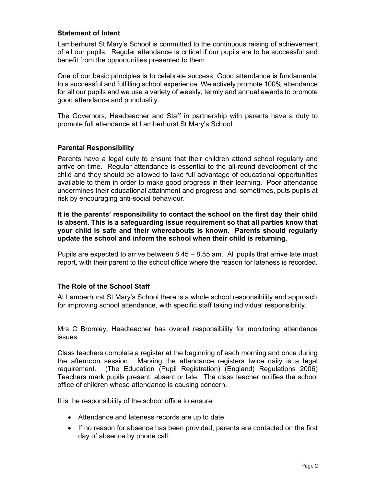#### Statement of Intent

Lamberhurst St Mary's School is committed to the continuous raising of achievement of all our pupils. Regular attendance is critical if our pupils are to be successful and benefit from the opportunities presented to them.

One of our basic principles is to celebrate success. Good attendance is fundamental to a successful and fulfilling school experience. We actively promote 100% attendance for all our pupils and we use a variety of weekly, termly and annual awards to promote good attendance and punctuality.

The Governors, Headteacher and Staff in partnership with parents have a duty to promote full attendance at Lamberhurst St Mary's School.

#### Parental Responsibility

Parents have a legal duty to ensure that their children attend school regularly and arrive on time. Regular attendance is essential to the all-round development of the child and they should be allowed to take full advantage of educational opportunities available to them in order to make good progress in their learning. Poor attendance undermines their educational attainment and progress and, sometimes, puts pupils at risk by encouraging anti-social behaviour.

It is the parents' responsibility to contact the school on the first day their child is absent. This is a safeguarding issue requirement so that all parties know that your child is safe and their whereabouts is known. Parents should regularly update the school and inform the school when their child is returning.

Pupils are expected to arrive between 8.45 – 8.55 am. All pupils that arrive late must report, with their parent to the school office where the reason for lateness is recorded.

#### The Role of the School Staff

At Lamberhurst St Mary's School there is a whole school responsibility and approach for improving school attendance, with specific staff taking individual responsibility.

Mrs C Bromley, Headteacher has overall responsibility for monitoring attendance issues.

Class teachers complete a register at the beginning of each morning and once during the afternoon session. Marking the attendance registers twice daily is a legal requirement. (The Education (Pupil Registration) (England) Regulations 2006) Teachers mark pupils present, absent or late. The class teacher notifies the school office of children whose attendance is causing concern.

It is the responsibility of the school office to ensure:

- Attendance and lateness records are up to date.
- If no reason for absence has been provided, parents are contacted on the first day of absence by phone call.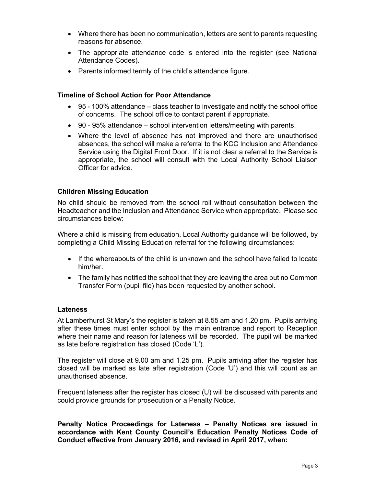- Where there has been no communication, letters are sent to parents requesting reasons for absence.
- The appropriate attendance code is entered into the register (see National Attendance Codes).
- Parents informed termly of the child's attendance figure.

#### Timeline of School Action for Poor Attendance

- 95 100% attendance class teacher to investigate and notify the school office of concerns. The school office to contact parent if appropriate.
- 90 95% attendance school intervention letters/meeting with parents.
- Where the level of absence has not improved and there are unauthorised absences, the school will make a referral to the KCC Inclusion and Attendance Service using the Digital Front Door. If it is not clear a referral to the Service is appropriate, the school will consult with the Local Authority School Liaison Officer for advice.

#### Children Missing Education

No child should be removed from the school roll without consultation between the Headteacher and the Inclusion and Attendance Service when appropriate. Please see circumstances below:

Where a child is missing from education, Local Authority guidance will be followed, by completing a Child Missing Education referral for the following circumstances:

- $\bullet$  If the whereabouts of the child is unknown and the school have failed to locate him/her.
- The family has notified the school that they are leaving the area but no Common Transfer Form (pupil file) has been requested by another school.

#### **Lateness**

At Lamberhurst St Mary's the register is taken at 8.55 am and 1.20 pm. Pupils arriving after these times must enter school by the main entrance and report to Reception where their name and reason for lateness will be recorded. The pupil will be marked as late before registration has closed (Code 'L').

The register will close at 9.00 am and 1.25 pm. Pupils arriving after the register has closed will be marked as late after registration (Code 'U') and this will count as an unauthorised absence.

Frequent lateness after the register has closed (U) will be discussed with parents and could provide grounds for prosecution or a Penalty Notice.

Penalty Notice Proceedings for Lateness – Penalty Notices are issued in accordance with Kent County Council's Education Penalty Notices Code of Conduct effective from January 2016, and revised in April 2017, when: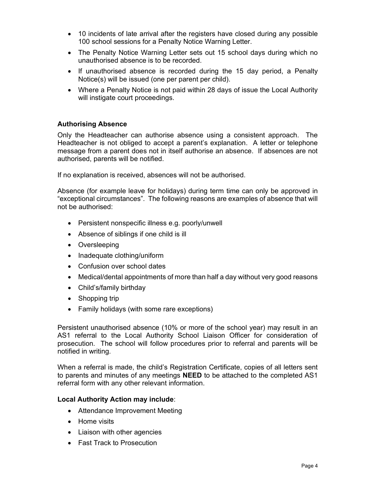- 10 incidents of late arrival after the registers have closed during any possible 100 school sessions for a Penalty Notice Warning Letter.
- The Penalty Notice Warning Letter sets out 15 school days during which no unauthorised absence is to be recorded.
- If unauthorised absence is recorded during the 15 day period, a Penalty Notice(s) will be issued (one per parent per child).
- Where a Penalty Notice is not paid within 28 days of issue the Local Authority will instigate court proceedings.

#### Authorising Absence

Only the Headteacher can authorise absence using a consistent approach. The Headteacher is not obliged to accept a parent's explanation. A letter or telephone message from a parent does not in itself authorise an absence. If absences are not authorised, parents will be notified.

If no explanation is received, absences will not be authorised.

Absence (for example leave for holidays) during term time can only be approved in "exceptional circumstances". The following reasons are examples of absence that will not be authorised:

- Persistent nonspecific illness e.g. poorly/unwell
- Absence of siblings if one child is ill
- Oversleeping
- Inadequate clothing/uniform
- Confusion over school dates
- Medical/dental appointments of more than half a day without very good reasons
- Child's/family birthday
- Shopping trip
- Family holidays (with some rare exceptions)

Persistent unauthorised absence (10% or more of the school year) may result in an AS1 referral to the Local Authority School Liaison Officer for consideration of prosecution. The school will follow procedures prior to referral and parents will be notified in writing.

When a referral is made, the child's Registration Certificate, copies of all letters sent to parents and minutes of any meetings **NEED** to be attached to the completed AS1 referral form with any other relevant information.

#### Local Authority Action may include:

- Attendance Improvement Meeting
- Home visits
- Liaison with other agencies
- Fast Track to Prosecution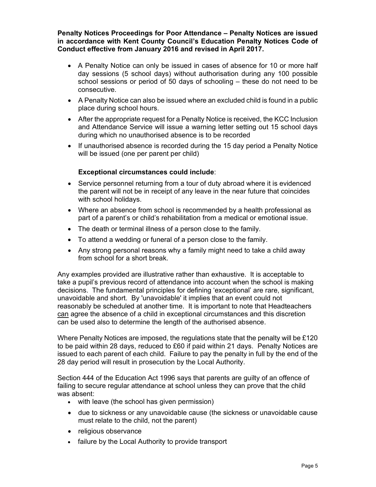Penalty Notices Proceedings for Poor Attendance – Penalty Notices are issued in accordance with Kent County Council's Education Penalty Notices Code of Conduct effective from January 2016 and revised in April 2017.

- A Penalty Notice can only be issued in cases of absence for 10 or more half day sessions (5 school days) without authorisation during any 100 possible school sessions or period of 50 days of schooling – these do not need to be consecutive.
- A Penalty Notice can also be issued where an excluded child is found in a public place during school hours.
- After the appropriate request for a Penalty Notice is received, the KCC Inclusion and Attendance Service will issue a warning letter setting out 15 school days during which no unauthorised absence is to be recorded
- If unauthorised absence is recorded during the 15 day period a Penalty Notice will be issued (one per parent per child)

#### Exceptional circumstances could include:

- Service personnel returning from a tour of duty abroad where it is evidenced the parent will not be in receipt of any leave in the near future that coincides with school holidays.
- Where an absence from school is recommended by a health professional as part of a parent's or child's rehabilitation from a medical or emotional issue.
- The death or terminal illness of a person close to the family.
- To attend a wedding or funeral of a person close to the family.
- Any strong personal reasons why a family might need to take a child away from school for a short break.

Any examples provided are illustrative rather than exhaustive. It is acceptable to take a pupil's previous record of attendance into account when the school is making decisions. The fundamental principles for defining 'exceptional' are rare, significant, unavoidable and short. By 'unavoidable' it implies that an event could not reasonably be scheduled at another time. It is important to note that Headteachers can agree the absence of a child in exceptional circumstances and this discretion can be used also to determine the length of the authorised absence.

Where Penalty Notices are imposed, the regulations state that the penalty will be £120 to be paid within 28 days, reduced to £60 if paid within 21 days. Penalty Notices are issued to each parent of each child. Failure to pay the penalty in full by the end of the 28 day period will result in prosecution by the Local Authority.

Section 444 of the Education Act 1996 says that parents are guilty of an offence of failing to secure regular attendance at school unless they can prove that the child was absent:

- with leave (the school has given permission)
- due to sickness or any unavoidable cause (the sickness or unavoidable cause must relate to the child, not the parent)
- religious observance
- failure by the Local Authority to provide transport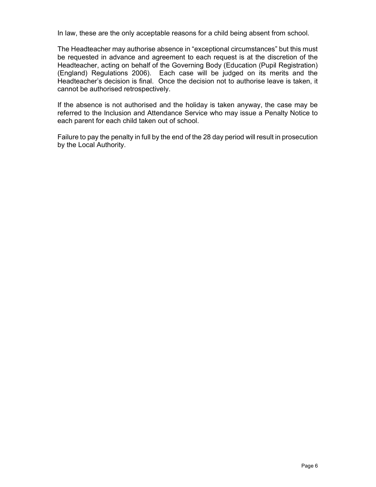In law, these are the only acceptable reasons for a child being absent from school.

The Headteacher may authorise absence in "exceptional circumstances" but this must be requested in advance and agreement to each request is at the discretion of the Headteacher, acting on behalf of the Governing Body (Education (Pupil Registration) (England) Regulations 2006). Each case will be judged on its merits and the Headteacher's decision is final. Once the decision not to authorise leave is taken, it cannot be authorised retrospectively.

If the absence is not authorised and the holiday is taken anyway, the case may be referred to the Inclusion and Attendance Service who may issue a Penalty Notice to each parent for each child taken out of school.

Failure to pay the penalty in full by the end of the 28 day period will result in prosecution by the Local Authority.